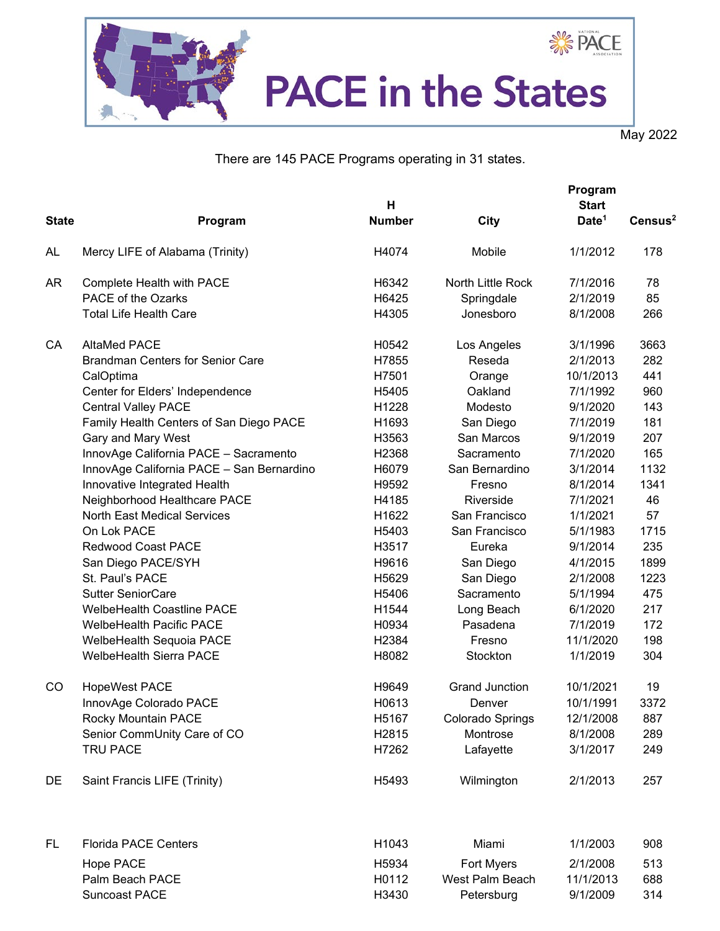

May 2022

There are 145 PACE Programs operating in 31 states.

|              |                                           | н             |                       | Program<br><b>Start</b> |                     |  |
|--------------|-------------------------------------------|---------------|-----------------------|-------------------------|---------------------|--|
| <b>State</b> | Program                                   | <b>Number</b> | City                  | Date <sup>1</sup>       | Census <sup>2</sup> |  |
|              |                                           |               |                       |                         |                     |  |
| AL           | Mercy LIFE of Alabama (Trinity)           | H4074         | Mobile                | 1/1/2012                | 178                 |  |
| AR           | Complete Health with PACE                 | H6342         | North Little Rock     | 7/1/2016                | 78                  |  |
|              | PACE of the Ozarks                        | H6425         | Springdale            | 2/1/2019                | 85                  |  |
|              | <b>Total Life Health Care</b>             | H4305         | Jonesboro             | 8/1/2008                | 266                 |  |
| CA           | <b>AltaMed PACE</b>                       | H0542         | Los Angeles           | 3/1/1996                | 3663                |  |
|              | <b>Brandman Centers for Senior Care</b>   | H7855         | Reseda                | 2/1/2013                | 282                 |  |
|              | CalOptima                                 | H7501         | Orange                | 10/1/2013               | 441                 |  |
|              | Center for Elders' Independence           | H5405         | Oakland               | 7/1/1992                | 960                 |  |
|              | <b>Central Valley PACE</b>                | H1228         | Modesto               | 9/1/2020                | 143                 |  |
|              | Family Health Centers of San Diego PACE   | H1693         | San Diego             | 7/1/2019                | 181                 |  |
|              | Gary and Mary West                        | H3563         | San Marcos            | 9/1/2019                | 207                 |  |
|              | InnovAge California PACE - Sacramento     | H2368         | Sacramento            | 7/1/2020                | 165                 |  |
|              | InnovAge California PACE - San Bernardino | H6079         | San Bernardino        | 3/1/2014                | 1132                |  |
|              | Innovative Integrated Health              | H9592         | Fresno                | 8/1/2014                | 1341                |  |
|              | Neighborhood Healthcare PACE              | H4185         | Riverside             | 7/1/2021                | 46                  |  |
|              | <b>North East Medical Services</b>        | H1622         | San Francisco         | 1/1/2021                | 57                  |  |
|              | On Lok PACE                               | H5403         | San Francisco         | 5/1/1983                | 1715                |  |
|              | <b>Redwood Coast PACE</b>                 | H3517         | Eureka                | 9/1/2014                | 235                 |  |
|              | San Diego PACE/SYH                        | H9616         | San Diego             | 4/1/2015                | 1899                |  |
|              | St. Paul's PACE                           | H5629         | San Diego             | 2/1/2008                | 1223                |  |
|              | <b>Sutter SeniorCare</b>                  | H5406         | Sacramento            | 5/1/1994                | 475                 |  |
|              | <b>WelbeHealth Coastline PACE</b>         | H1544         | Long Beach            | 6/1/2020                | 217                 |  |
|              | <b>WelbeHealth Pacific PACE</b>           | H0934         | Pasadena              | 7/1/2019                | 172                 |  |
|              | WelbeHealth Sequoia PACE                  | H2384         | Fresno                | 11/1/2020               | 198                 |  |
|              | <b>WelbeHealth Sierra PACE</b>            | H8082         | Stockton              | 1/1/2019                | 304                 |  |
| CO           | <b>HopeWest PACE</b>                      | H9649         | <b>Grand Junction</b> | 10/1/2021               | 19                  |  |
|              | InnovAge Colorado PACE                    | H0613         | Denver                | 10/1/1991               | 3372                |  |
|              | Rocky Mountain PACE                       | H5167         | Colorado Springs      | 12/1/2008               | 887                 |  |
|              | Senior CommUnity Care of CO               | H2815         | Montrose              | 8/1/2008                | 289                 |  |
|              | <b>TRU PACE</b>                           | H7262         | Lafayette             | 3/1/2017                | 249                 |  |
| DE           | Saint Francis LIFE (Trinity)              | H5493         | Wilmington            | 2/1/2013                | 257                 |  |
| FL.          | <b>Florida PACE Centers</b>               | H1043         | Miami                 | 1/1/2003                | 908                 |  |
|              | Hope PACE                                 | H5934         | Fort Myers            | 2/1/2008                | 513                 |  |
|              | Palm Beach PACE                           | H0112         | West Palm Beach       | 11/1/2013               | 688                 |  |
|              | <b>Suncoast PACE</b>                      | H3430         | Petersburg            | 9/1/2009                | 314                 |  |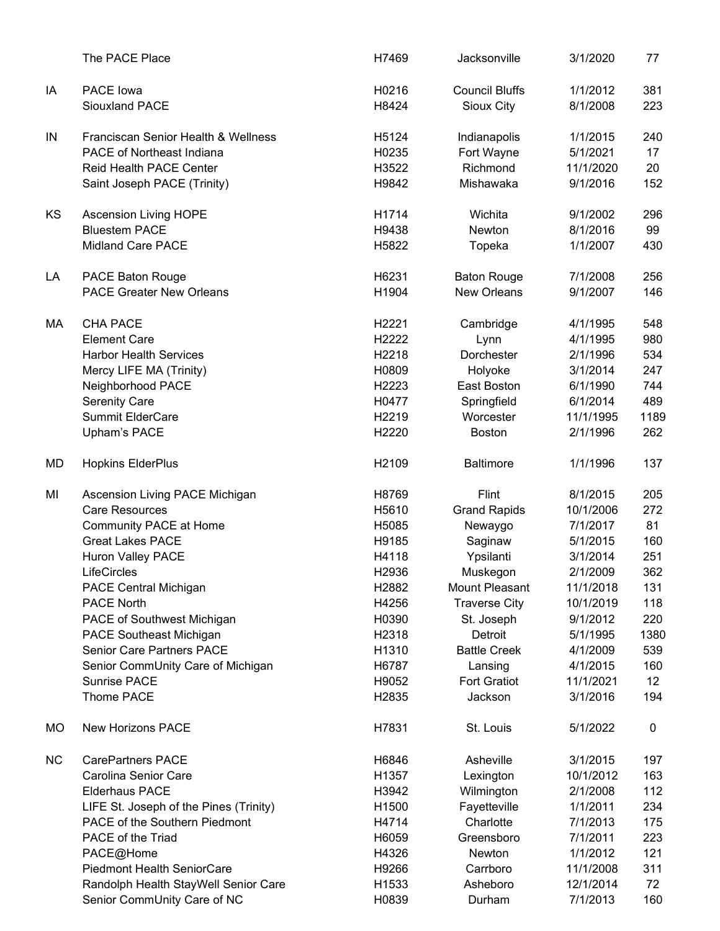|           | The PACE Place                         | H7469             | Jacksonville          | 3/1/2020  | 77   |
|-----------|----------------------------------------|-------------------|-----------------------|-----------|------|
| IA        | <b>PACE lowa</b>                       | H0216             | <b>Council Bluffs</b> | 1/1/2012  | 381  |
|           | Siouxland PACE                         | H8424             | Sioux City            | 8/1/2008  | 223  |
| IN        | Franciscan Senior Health & Wellness    | H5124             | Indianapolis          | 1/1/2015  | 240  |
|           | <b>PACE of Northeast Indiana</b>       | H0235             | Fort Wayne            | 5/1/2021  | 17   |
|           | <b>Reid Health PACE Center</b>         | H3522             | Richmond              | 11/1/2020 | 20   |
|           | Saint Joseph PACE (Trinity)            | H9842             | Mishawaka             | 9/1/2016  | 152  |
| KS        | <b>Ascension Living HOPE</b>           | H1714             | Wichita               | 9/1/2002  | 296  |
|           | <b>Bluestem PACE</b>                   | H9438             | Newton                | 8/1/2016  | 99   |
|           | <b>Midland Care PACE</b>               | H5822             | Topeka                | 1/1/2007  | 430  |
| LA        | PACE Baton Rouge                       | H6231             | <b>Baton Rouge</b>    | 7/1/2008  | 256  |
|           | <b>PACE Greater New Orleans</b>        | H1904             | <b>New Orleans</b>    | 9/1/2007  | 146  |
| МA        | <b>CHA PACE</b>                        | H2221             | Cambridge             | 4/1/1995  | 548  |
|           | <b>Element Care</b>                    | H2222             | Lynn                  | 4/1/1995  | 980  |
|           | <b>Harbor Health Services</b>          | H2218             | Dorchester            | 2/1/1996  | 534  |
|           | Mercy LIFE MA (Trinity)                | H0809             | Holyoke               | 3/1/2014  | 247  |
|           | Neighborhood PACE                      | H2223             | East Boston           | 6/1/1990  | 744  |
|           | <b>Serenity Care</b>                   | H0477             | Springfield           | 6/1/2014  | 489  |
|           | <b>Summit ElderCare</b>                | H2219             | Worcester             | 11/1/1995 | 1189 |
|           | Upham's PACE                           | H2220             | <b>Boston</b>         | 2/1/1996  | 262  |
| MD        | <b>Hopkins ElderPlus</b>               | H2109             | <b>Baltimore</b>      | 1/1/1996  | 137  |
| MI        | Ascension Living PACE Michigan         | H8769             | Flint                 | 8/1/2015  | 205  |
|           | <b>Care Resources</b>                  | H5610             | <b>Grand Rapids</b>   | 10/1/2006 | 272  |
|           | Community PACE at Home                 | H5085             | Newaygo               | 7/1/2017  | 81   |
|           | <b>Great Lakes PACE</b>                | H9185             | Saginaw               | 5/1/2015  | 160  |
|           | <b>Huron Valley PACE</b>               | H4118             | Ypsilanti             | 3/1/2014  | 251  |
|           | <b>LifeCircles</b>                     | H <sub>2936</sub> | Muskegon              | 2/1/2009  | 362  |
|           | <b>PACE Central Michigan</b>           | H2882             | Mount Pleasant        | 11/1/2018 | 131  |
|           | <b>PACE North</b>                      | H4256             | <b>Traverse City</b>  | 10/1/2019 | 118  |
|           | PACE of Southwest Michigan             | H0390             | St. Joseph            | 9/1/2012  | 220  |
|           | <b>PACE Southeast Michigan</b>         | H2318             | Detroit               | 5/1/1995  | 1380 |
|           | <b>Senior Care Partners PACE</b>       | H1310             | <b>Battle Creek</b>   | 4/1/2009  | 539  |
|           | Senior CommUnity Care of Michigan      | H6787             | Lansing               | 4/1/2015  | 160  |
|           | <b>Sunrise PACE</b>                    | H9052             | <b>Fort Gratiot</b>   | 11/1/2021 | 12   |
|           | Thome PACE                             | H2835             | Jackson               | 3/1/2016  | 194  |
| МO        | <b>New Horizons PACE</b>               | H7831             | St. Louis             | 5/1/2022  | 0    |
| <b>NC</b> | <b>CarePartners PACE</b>               | H6846             | Asheville             | 3/1/2015  | 197  |
|           | Carolina Senior Care                   | H1357             | Lexington             | 10/1/2012 | 163  |
|           | <b>Elderhaus PACE</b>                  | H3942             | Wilmington            | 2/1/2008  | 112  |
|           | LIFE St. Joseph of the Pines (Trinity) | H1500             | Fayetteville          | 1/1/2011  | 234  |
|           | PACE of the Southern Piedmont          | H4714             | Charlotte             | 7/1/2013  | 175  |
|           | PACE of the Triad                      | H6059             | Greensboro            | 7/1/2011  | 223  |
|           | PACE@Home                              | H4326             | Newton                | 1/1/2012  | 121  |
|           | <b>Piedmont Health SeniorCare</b>      | H9266             | Carrboro              | 11/1/2008 | 311  |
|           | Randolph Health StayWell Senior Care   | H1533             | Asheboro              | 12/1/2014 | 72   |
|           | Senior CommUnity Care of NC            | H0839             | Durham                | 7/1/2013  | 160  |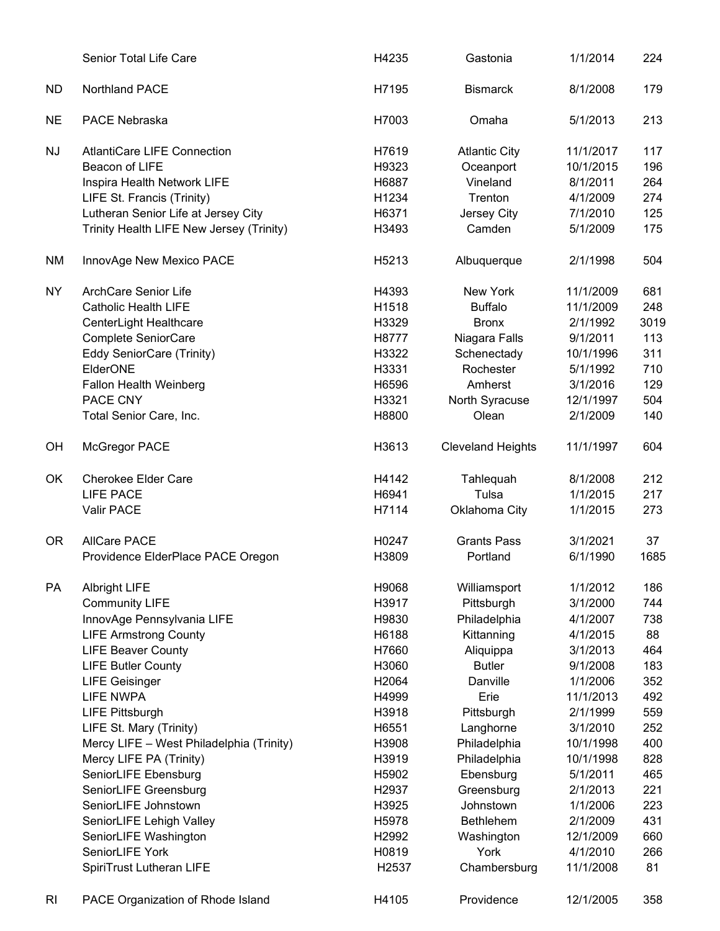|           | Senior Total Life Care                   | H4235             | Gastonia                 | 1/1/2014  | 224  |
|-----------|------------------------------------------|-------------------|--------------------------|-----------|------|
| ND.       | <b>Northland PACE</b>                    | H7195             | <b>Bismarck</b>          | 8/1/2008  | 179  |
| <b>NE</b> | PACE Nebraska                            | H7003             | Omaha                    | 5/1/2013  | 213  |
| <b>NJ</b> | <b>AtlantiCare LIFE Connection</b>       | H7619             | <b>Atlantic City</b>     | 11/1/2017 | 117  |
|           | Beacon of LIFE                           | H9323             | Oceanport                | 10/1/2015 | 196  |
|           | Inspira Health Network LIFE              | H6887             | Vineland                 | 8/1/2011  | 264  |
|           | LIFE St. Francis (Trinity)               | H1234             | Trenton                  | 4/1/2009  | 274  |
|           | Lutheran Senior Life at Jersey City      | H6371             | Jersey City              | 7/1/2010  | 125  |
|           | Trinity Health LIFE New Jersey (Trinity) | H3493             | Camden                   | 5/1/2009  | 175  |
| <b>NM</b> | InnovAge New Mexico PACE                 | H5213             | Albuquerque              | 2/1/1998  | 504  |
| NY        | <b>ArchCare Senior Life</b>              | H4393             | New York                 | 11/1/2009 | 681  |
|           | <b>Catholic Health LIFE</b>              | H1518             | <b>Buffalo</b>           | 11/1/2009 | 248  |
|           | CenterLight Healthcare                   | H3329             | <b>Bronx</b>             | 2/1/1992  | 3019 |
|           | Complete SeniorCare                      | H8777             | Niagara Falls            | 9/1/2011  | 113  |
|           | Eddy SeniorCare (Trinity)                | H3322             | Schenectady              | 10/1/1996 | 311  |
|           | ElderONE                                 | H3331             | Rochester                | 5/1/1992  | 710  |
|           | <b>Fallon Health Weinberg</b>            | H6596             | Amherst                  | 3/1/2016  | 129  |
|           | PACE CNY                                 | H3321             | North Syracuse           | 12/1/1997 | 504  |
|           | Total Senior Care, Inc.                  | H8800             | Olean                    | 2/1/2009  | 140  |
| OH        | McGregor PACE                            | H3613             | <b>Cleveland Heights</b> | 11/1/1997 | 604  |
| OK        | <b>Cherokee Elder Care</b>               | H4142             | Tahlequah                | 8/1/2008  | 212  |
|           | <b>LIFE PACE</b>                         | H6941             | Tulsa                    | 1/1/2015  | 217  |
|           | Valir PACE                               | H7114             | Oklahoma City            | 1/1/2015  | 273  |
| <b>OR</b> | <b>AllCare PACE</b>                      | H0247             | <b>Grants Pass</b>       | 3/1/2021  | 37   |
|           | Providence ElderPlace PACE Oregon        | H3809             | Portland                 | 6/1/1990  | 1685 |
| PA        | <b>Albright LIFE</b>                     | H9068             | Williamsport             | 1/1/2012  | 186  |
|           | <b>Community LIFE</b>                    | H3917             | Pittsburgh               | 3/1/2000  | 744  |
|           | InnovAge Pennsylvania LIFE               | H9830             | Philadelphia             | 4/1/2007  | 738  |
|           | <b>LIFE Armstrong County</b>             | H6188             | Kittanning               | 4/1/2015  | 88   |
|           | <b>LIFE Beaver County</b>                | H7660             | Aliquippa                | 3/1/2013  | 464  |
|           | <b>LIFE Butler County</b>                | H3060             | <b>Butler</b>            | 9/1/2008  | 183  |
|           | <b>LIFE Geisinger</b>                    | H2064             | Danville                 | 1/1/2006  | 352  |
|           | <b>LIFE NWPA</b>                         | H4999             | Erie                     | 11/1/2013 | 492  |
|           | <b>LIFE Pittsburgh</b>                   | H3918             | Pittsburgh               | 2/1/1999  | 559  |
|           | LIFE St. Mary (Trinity)                  | H6551             | Langhorne                | 3/1/2010  | 252  |
|           | Mercy LIFE - West Philadelphia (Trinity) | H3908             | Philadelphia             | 10/1/1998 | 400  |
|           | Mercy LIFE PA (Trinity)                  | H3919             | Philadelphia             | 10/1/1998 | 828  |
|           | SeniorLIFE Ebensburg                     | H5902             | Ebensburg                | 5/1/2011  | 465  |
|           | SeniorLIFE Greensburg                    | H2937             | Greensburg               | 2/1/2013  | 221  |
|           | SeniorLIFE Johnstown                     | H3925             | Johnstown                | 1/1/2006  | 223  |
|           | SeniorLIFE Lehigh Valley                 | H5978             | <b>Bethlehem</b>         | 2/1/2009  | 431  |
|           | SeniorLIFE Washington                    | H2992             | Washington               | 12/1/2009 | 660  |
|           | SeniorLIFE York                          | H0819             | York                     | 4/1/2010  | 266  |
|           | SpiriTrust Lutheran LIFE                 | H <sub>2537</sub> | Chambersburg             | 11/1/2008 | 81   |
| RI        | PACE Organization of Rhode Island        | H4105             | Providence               | 12/1/2005 | 358  |